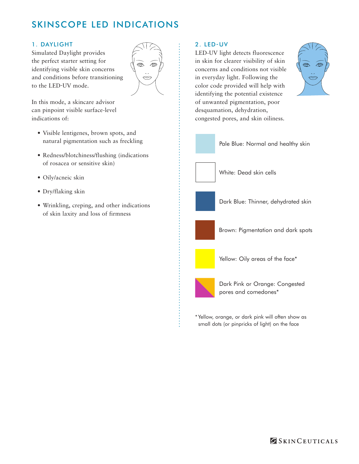## SKINSCOPE LED INDICATIONS

## 1. DAYLIGHT

Simulated Daylight provides the perfect starter setting for identifying visible skin concerns and conditions before transitioning to the LED-UV mode.



In this mode, a skincare advisor can pinpoint visible surface-level indications of:

- • Visible lentigenes, brown spots, and natural pigmentation such as freckling
- Redness/blotchiness/flushing (indications of rosacea or sensitive skin)
- • Oily/acneic skin
- • Dry/flaking skin
- • Wrinkling, creping, and other indications of skin laxity and loss of firmness

## 2. LED-UV

LED-UV light detects fluorescence in skin for clearer visibility of skin concerns and conditions not visible in everyday light. Following the color code provided will help with identifying the potential existence of unwanted pigmentation, poor desquamation, dehydration, congested pores, and skin oiliness.





\* Yellow, orange, or dark pink will often show as small dots (or pinpricks of light) on the face